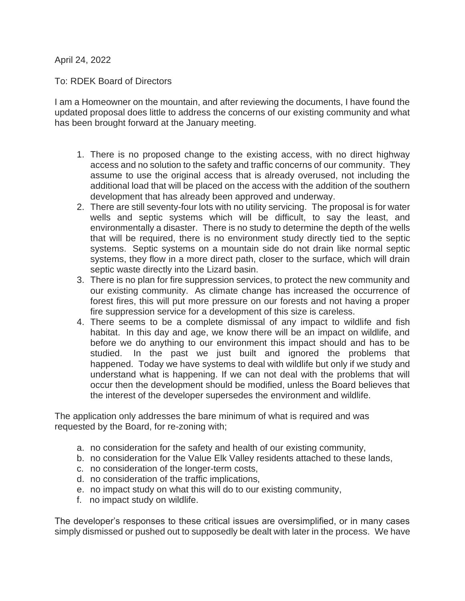April 24, 2022

To: RDEK Board of Directors

I am a Homeowner on the mountain, and after reviewing the documents, I have found the updated proposal does little to address the concerns of our existing community and what has been brought forward at the January meeting.

- 1. There is no proposed change to the existing access, with no direct highway access and no solution to the safety and traffic concerns of our community. They assume to use the original access that is already overused, not including the additional load that will be placed on the access with the addition of the southern development that has already been approved and underway.
- 2. There are still seventy-four lots with no utility servicing. The proposal is for water wells and septic systems which will be difficult, to say the least, and environmentally a disaster. There is no study to determine the depth of the wells that will be required, there is no environment study directly tied to the septic systems. Septic systems on a mountain side do not drain like normal septic systems, they flow in a more direct path, closer to the surface, which will drain septic waste directly into the Lizard basin.
- 3. There is no plan for fire suppression services, to protect the new community and our existing community. As climate change has increased the occurrence of forest fires, this will put more pressure on our forests and not having a proper fire suppression service for a development of this size is careless.
- 4. There seems to be a complete dismissal of any impact to wildlife and fish habitat. In this day and age, we know there will be an impact on wildlife, and before we do anything to our environment this impact should and has to be studied. In the past we just built and ignored the problems that happened. Today we have systems to deal with wildlife but only if we study and understand what is happening. If we can not deal with the problems that will occur then the development should be modified, unless the Board believes that the interest of the developer supersedes the environment and wildlife.

The application only addresses the bare minimum of what is required and was requested by the Board, for re-zoning with;

- a. no consideration for the safety and health of our existing community,
- b. no consideration for the Value Elk Valley residents attached to these lands,
- c. no consideration of the longer-term costs,
- d. no consideration of the traffic implications,
- e. no impact study on what this will do to our existing community,
- f. no impact study on wildlife.

The developer's responses to these critical issues are oversimplified, or in many cases simply dismissed or pushed out to supposedly be dealt with later in the process. We have